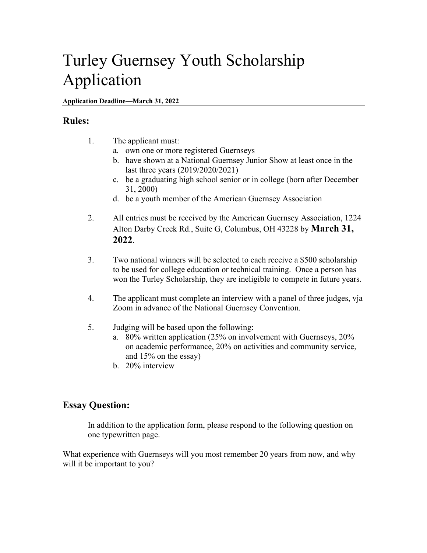## Turley Guernsey Youth Scholarship Application

#### **Application Deadline—March 31, 2022**

#### **Rules:**

- 1. The applicant must:
	- a. own one or more registered Guernseys
	- b. have shown at a National Guernsey Junior Show at least once in the last three years (2019/2020/2021)
	- c. be a graduating high school senior or in college (born after December 31, 2000)
	- d. be a youth member of the American Guernsey Association
- 2. All entries must be received by the American Guernsey Association, 1224 Alton Darby Creek Rd., Suite G, Columbus, OH 43228 by **March 31, 2022**.
- 3. Two national winners will be selected to each receive a \$500 scholarship to be used for college education or technical training. Once a person has won the Turley Scholarship, they are ineligible to compete in future years.
- 4. The applicant must complete an interview with a panel of three judges, vja Zoom in advance of the National Guernsey Convention.
- 5. Judging will be based upon the following:
	- a. 80% written application (25% on involvement with Guernseys, 20% on academic performance, 20% on activities and community service, and 15% on the essay)
	- b. 20% interview

### **Essay Question:**

In addition to the application form, please respond to the following question on one typewritten page.

What experience with Guernseys will you most remember 20 years from now, and why will it be important to you?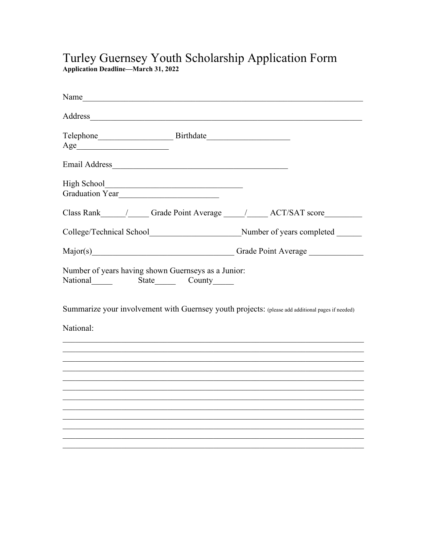# Turley Guernsey Youth Scholarship Application Form<br>Application Deadline-March 31, 2022

| Name and the same state of the same state of the same state of the same state of the same state of the same state of the same state of the same state of the same state of the same state of the same state of the same state |  |
|-------------------------------------------------------------------------------------------------------------------------------------------------------------------------------------------------------------------------------|--|
|                                                                                                                                                                                                                               |  |
|                                                                                                                                                                                                                               |  |
|                                                                                                                                                                                                                               |  |
| High School<br>Graduation Year                                                                                                                                                                                                |  |
| Class Rank _________________Grade Point Average _________________________________                                                                                                                                             |  |
| College/Technical School________________________________Number of years completed ______                                                                                                                                      |  |
| Major(s) Grade Point Average Called Average                                                                                                                                                                                   |  |
| Number of years having shown Guernseys as a Junior:<br>National State County                                                                                                                                                  |  |
| Summarize your involvement with Guernsey youth projects: (please add additional pages if needed)                                                                                                                              |  |
| National:                                                                                                                                                                                                                     |  |
|                                                                                                                                                                                                                               |  |
|                                                                                                                                                                                                                               |  |
|                                                                                                                                                                                                                               |  |
|                                                                                                                                                                                                                               |  |
|                                                                                                                                                                                                                               |  |
|                                                                                                                                                                                                                               |  |
|                                                                                                                                                                                                                               |  |
|                                                                                                                                                                                                                               |  |
|                                                                                                                                                                                                                               |  |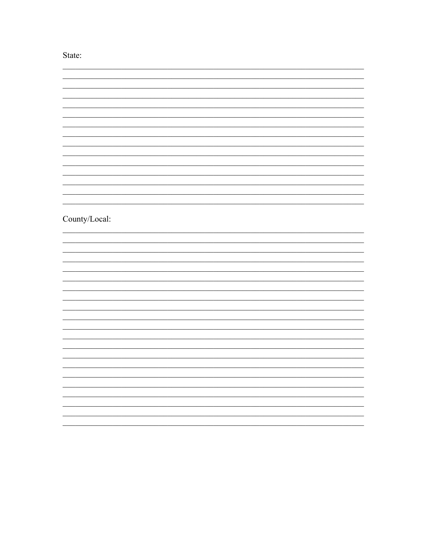State:

| $County/Local:$ |  |
|-----------------|--|
|                 |  |
|                 |  |
|                 |  |
|                 |  |
|                 |  |
|                 |  |
|                 |  |
|                 |  |
|                 |  |
|                 |  |
|                 |  |
|                 |  |
|                 |  |
|                 |  |
|                 |  |
|                 |  |
|                 |  |
|                 |  |
|                 |  |
|                 |  |
|                 |  |
|                 |  |
|                 |  |
|                 |  |
|                 |  |
|                 |  |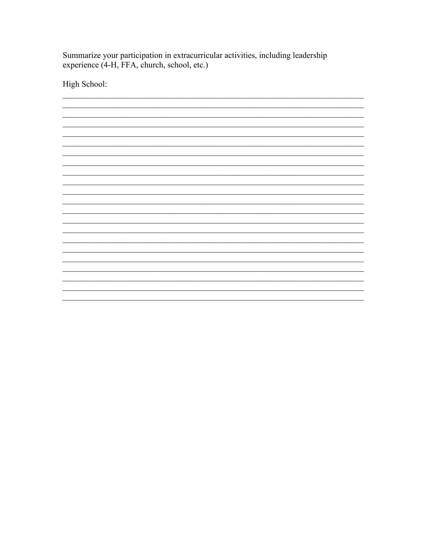Summarize your participation in extracurricular activities, including leadership experience (4-H, FFA, church, school, etc.)

High School: